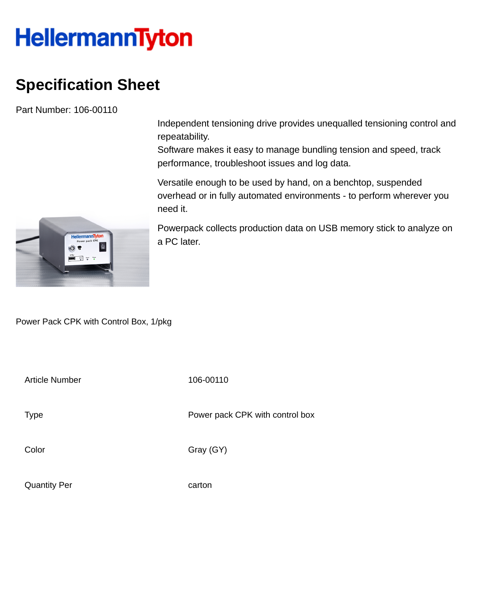## **HellermannTyton**

## **Specification Sheet**

Part Number: 106-00110

Independent tensioning drive provides unequalled tensioning control and repeatability.

Software makes it easy to manage bundling tension and speed, track performance, troubleshoot issues and log data.

Versatile enough to be used by hand, on a benchtop, suspended overhead or in fully automated environments - to perform wherever you need it.

Powerpack collects production data on USB memory stick to analyze on a PC later.

Power Pack CPK with Control Box, 1/pkg

Article Number 106-00110

Type **Power pack CPK** with control box

Color Gray (GY)

Quantity Per carton

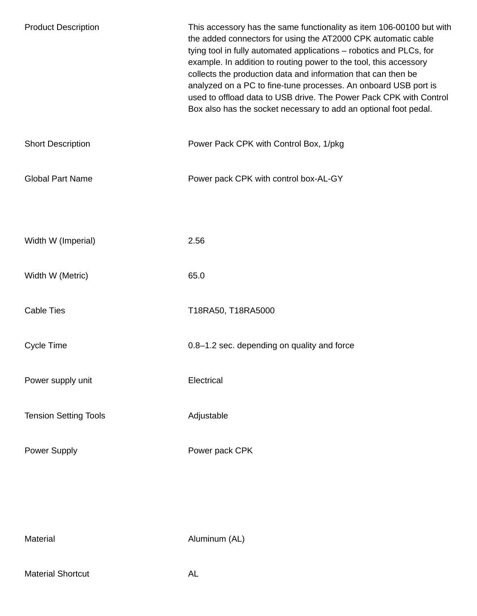| <b>Product Description</b>   | This accessory has the same functionality as item 106-00100 but with<br>the added connectors for using the AT2000 CPK automatic cable<br>tying tool in fully automated applications - robotics and PLCs, for<br>example. In addition to routing power to the tool, this accessory<br>collects the production data and information that can then be<br>analyzed on a PC to fine-tune processes. An onboard USB port is<br>used to offload data to USB drive. The Power Pack CPK with Control<br>Box also has the socket necessary to add an optional foot pedal. |
|------------------------------|-----------------------------------------------------------------------------------------------------------------------------------------------------------------------------------------------------------------------------------------------------------------------------------------------------------------------------------------------------------------------------------------------------------------------------------------------------------------------------------------------------------------------------------------------------------------|
| <b>Short Description</b>     | Power Pack CPK with Control Box, 1/pkg                                                                                                                                                                                                                                                                                                                                                                                                                                                                                                                          |
| <b>Global Part Name</b>      | Power pack CPK with control box-AL-GY                                                                                                                                                                                                                                                                                                                                                                                                                                                                                                                           |
|                              |                                                                                                                                                                                                                                                                                                                                                                                                                                                                                                                                                                 |
| Width W (Imperial)           | 2.56                                                                                                                                                                                                                                                                                                                                                                                                                                                                                                                                                            |
| Width W (Metric)             | 65.0                                                                                                                                                                                                                                                                                                                                                                                                                                                                                                                                                            |
| <b>Cable Ties</b>            | T18RA50, T18RA5000                                                                                                                                                                                                                                                                                                                                                                                                                                                                                                                                              |
| <b>Cycle Time</b>            | 0.8-1.2 sec. depending on quality and force                                                                                                                                                                                                                                                                                                                                                                                                                                                                                                                     |
| Power supply unit            | Electrical                                                                                                                                                                                                                                                                                                                                                                                                                                                                                                                                                      |
| <b>Tension Setting Tools</b> | Adjustable                                                                                                                                                                                                                                                                                                                                                                                                                                                                                                                                                      |
| <b>Power Supply</b>          | Power pack CPK                                                                                                                                                                                                                                                                                                                                                                                                                                                                                                                                                  |
|                              |                                                                                                                                                                                                                                                                                                                                                                                                                                                                                                                                                                 |
|                              |                                                                                                                                                                                                                                                                                                                                                                                                                                                                                                                                                                 |
| Material                     | Aluminum (AL)                                                                                                                                                                                                                                                                                                                                                                                                                                                                                                                                                   |

Material Shortcut **AL**